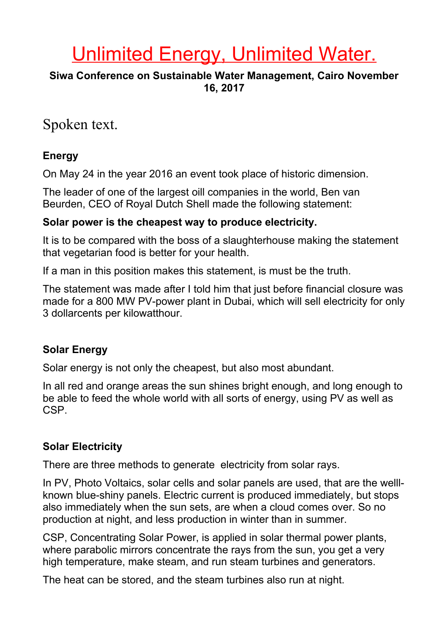# Unlimited Energy, Unlimited Water.

#### **Siwa Conference on Sustainable Water Management, Cairo November 16, 2017**

# Spoken text.

#### **Energy**

On May 24 in the year 2016 an event took place of historic dimension.

The leader of one of the largest oill companies in the world, Ben van Beurden, CEO of Royal Dutch Shell made the following statement:

#### **Solar power is the cheapest way to produce electricity.**

It is to be compared with the boss of a slaughterhouse making the statement that vegetarian food is better for your health.

If a man in this position makes this statement, is must be the truth.

The statement was made after I told him that just before financial closure was made for a 800 MW PV-power plant in Dubai, which will sell electricity for only 3 dollarcents per kilowatthour.

#### **Solar Energy**

Solar energy is not only the cheapest, but also most abundant.

In all red and orange areas the sun shines bright enough, and long enough to be able to feed the whole world with all sorts of energy, using PV as well as CSP.

# **Solar Electricity**

There are three methods to generate electricity from solar rays.

In PV, Photo Voltaics, solar cells and solar panels are used, that are the welllknown blue-shiny panels. Electric current is produced immediately, but stops also immediately when the sun sets, are when a cloud comes over. So no production at night, and less production in winter than in summer.

CSP, Concentrating Solar Power, is applied in solar thermal power plants, where parabolic mirrors concentrate the rays from the sun, you get a very high temperature, make steam, and run steam turbines and generators.

The heat can be stored, and the steam turbines also run at night.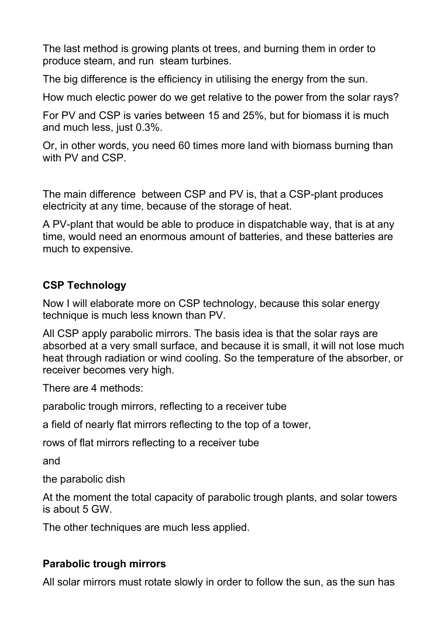The last method is growing plants ot trees, and burning them in order to produce steam, and run steam turbines.

The big difference is the efficiency in utilising the energy from the sun.

How much electic power do we get relative to the power from the solar rays?

For PV and CSP is varies between 15 and 25%, but for biomass it is much and much less, just 0.3%.

Or, in other words, you need 60 times more land with biomass burning than with PV and CSP.

The main difference between CSP and PV is, that a CSP-plant produces electricity at any time, because of the storage of heat.

A PV-plant that would be able to produce in dispatchable way, that is at any time, would need an enormous amount of batteries, and these batteries are much to expensive.

# **CSP Technology**

Now I will elaborate more on CSP technology, because this solar energy technique is much less known than PV.

All CSP apply parabolic mirrors. The basis idea is that the solar rays are absorbed at a very small surface, and because it is small, it will not lose much heat through radiation or wind cooling. So the temperature of the absorber, or receiver becomes very high.

There are 4 methods:

parabolic trough mirrors, reflecting to a receiver tube

a field of nearly flat mirrors reflecting to the top of a tower,

rows of flat mirrors reflecting to a receiver tube

and

the parabolic dish

At the moment the total capacity of parabolic trough plants, and solar towers is about 5 GW.

The other techniques are much less applied.

# **Parabolic trough mirrors**

All solar mirrors must rotate slowly in order to follow the sun, as the sun has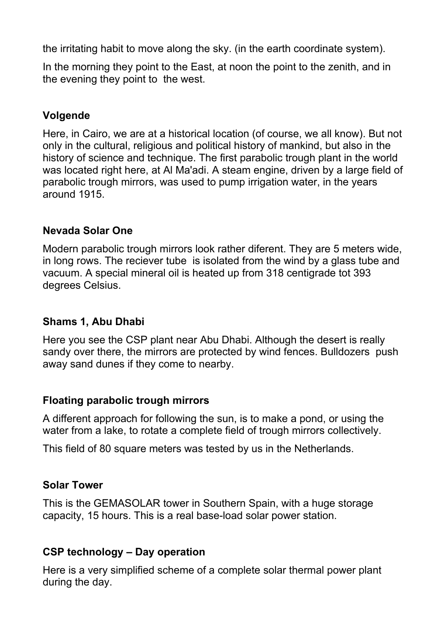the irritating habit to move along the sky. (in the earth coordinate system).

In the morning they point to the East, at noon the point to the zenith, and in the evening they point to the west.

# **Volgende**

Here, in Cairo, we are at a historical location (of course, we all know). But not only in the cultural, religious and political history of mankind, but also in the history of science and technique. The first parabolic trough plant in the world was located right here, at Al Ma'adi. A steam engine, driven by a large field of parabolic trough mirrors, was used to pump irrigation water, in the years around 1915.

# **Nevada Solar One**

Modern parabolic trough mirrors look rather diferent. They are 5 meters wide, in long rows. The reciever tube is isolated from the wind by a glass tube and vacuum. A special mineral oil is heated up from 318 centigrade tot 393 degrees Celsius.

# **Shams 1, Abu Dhabi**

Here you see the CSP plant near Abu Dhabi. Although the desert is really sandy over there, the mirrors are protected by wind fences. Bulldozers push away sand dunes if they come to nearby.

# **Floating parabolic trough mirrors**

A different approach for following the sun, is to make a pond, or using the water from a lake, to rotate a complete field of trough mirrors collectively.

This field of 80 square meters was tested by us in the Netherlands.

# **Solar Tower**

This is the GEMASOLAR tower in Southern Spain, with a huge storage capacity, 15 hours. This is a real base-load solar power station.

# **CSP technology – Day operation**

Here is a very simplified scheme of a complete solar thermal power plant during the day.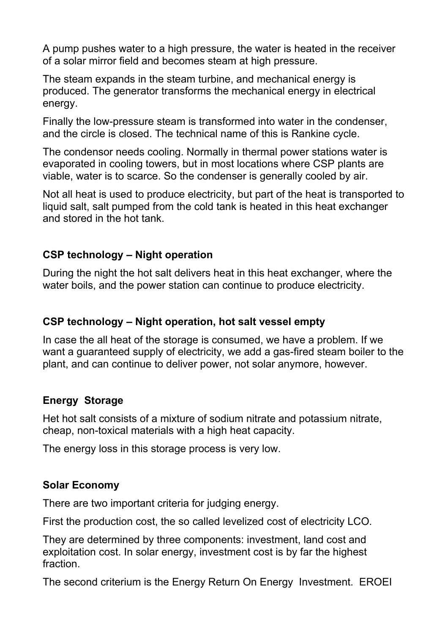A pump pushes water to a high pressure, the water is heated in the receiver of a solar mirror field and becomes steam at high pressure.

The steam expands in the steam turbine, and mechanical energy is produced. The generator transforms the mechanical energy in electrical energy.

Finally the low-pressure steam is transformed into water in the condenser, and the circle is closed. The technical name of this is Rankine cycle.

The condensor needs cooling. Normally in thermal power stations water is evaporated in cooling towers, but in most locations where CSP plants are viable, water is to scarce. So the condenser is generally cooled by air.

Not all heat is used to produce electricity, but part of the heat is transported to liquid salt, salt pumped from the cold tank is heated in this heat exchanger and stored in the hot tank.

# **CSP technology – Night operation**

During the night the hot salt delivers heat in this heat exchanger, where the water boils, and the power station can continue to produce electricity.

# **CSP technology – Night operation, hot salt vessel empty**

In case the all heat of the storage is consumed, we have a problem. If we want a guaranteed supply of electricity, we add a gas-fired steam boiler to the plant, and can continue to deliver power, not solar anymore, however.

# **Energy Storage**

Het hot salt consists of a mixture of sodium nitrate and potassium nitrate, cheap, non-toxical materials with a high heat capacity.

The energy loss in this storage process is very low.

# **Solar Economy**

There are two important criteria for judging energy.

First the production cost, the so called levelized cost of electricity LCO.

They are determined by three components: investment, land cost and exploitation cost. In solar energy, investment cost is by far the highest fraction.

The second criterium is the Energy Return On Energy Investment. EROEI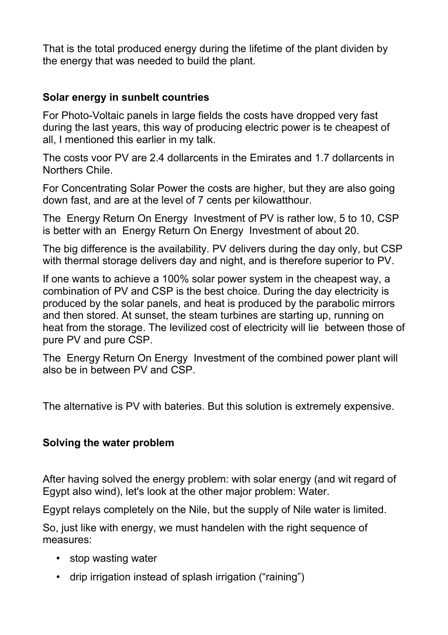That is the total produced energy during the lifetime of the plant dividen by the energy that was needed to build the plant.

#### **Solar energy in sunbelt countries**

For Photo-Voltaic panels in large fields the costs have dropped very fast during the last years, this way of producing electric power is te cheapest of all, I mentioned this earlier in my talk.

The costs voor PV are 2.4 dollarcents in the Emirates and 1.7 dollarcents in Northers Chile.

For Concentrating Solar Power the costs are higher, but they are also going down fast, and are at the level of 7 cents per kilowatthour.

The Energy Return On Energy Investment of PV is rather low, 5 to 10, CSP is better with an Energy Return On Energy Investment of about 20.

The big difference is the availability. PV delivers during the day only, but CSP with thermal storage delivers day and night, and is therefore superior to PV.

If one wants to achieve a 100% solar power system in the cheapest way, a combination of PV and CSP is the best choice. During the day electricity is produced by the solar panels, and heat is produced by the parabolic mirrors and then stored. At sunset, the steam turbines are starting up, running on heat from the storage. The levilized cost of electricity will lie between those of pure PV and pure CSP.

The Energy Return On Energy Investment of the combined power plant will also be in between PV and CSP.

The alternative is PV with bateries. But this solution is extremely expensive.

#### **Solving the water problem**

After having solved the energy problem: with solar energy (and wit regard of Egypt also wind), let's look at the other major problem: Water.

Egypt relays completely on the Nile, but the supply of Nile water is limited.

So, just like with energy, we must handelen with the right sequence of measures:

- stop wasting water
- drip irrigation instead of splash irrigation ("raining")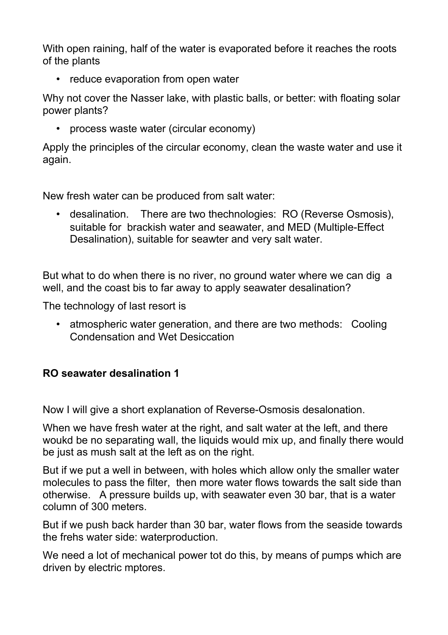With open raining, half of the water is evaporated before it reaches the roots of the plants

• reduce evaporation from open water

Why not cover the Nasser lake, with plastic balls, or better: with floating solar power plants?

• process waste water (circular economy)

Apply the principles of the circular economy, clean the waste water and use it again.

New fresh water can be produced from salt water:

• desalination. There are two thechnologies: RO (Reverse Osmosis), suitable for brackish water and seawater, and MED (Multiple-Effect Desalination), suitable for seawter and very salt water.

But what to do when there is no river, no ground water where we can dig a well, and the coast bis to far away to apply seawater desalination?

The technology of last resort is

• atmospheric water generation, and there are two methods: Cooling Condensation and Wet Desiccation

# **RO seawater desalination 1**

Now I will give a short explanation of Reverse-Osmosis desalonation.

When we have fresh water at the right, and salt water at the left, and there woukd be no separating wall, the liquids would mix up, and finally there would be just as mush salt at the left as on the right.

But if we put a well in between, with holes which allow only the smaller water molecules to pass the filter, then more water flows towards the salt side than otherwise. A pressure builds up, with seawater even 30 bar, that is a water column of 300 meters.

But if we push back harder than 30 bar, water flows from the seaside towards the frehs water side: waterproduction.

We need a lot of mechanical power tot do this, by means of pumps which are driven by electric mptores.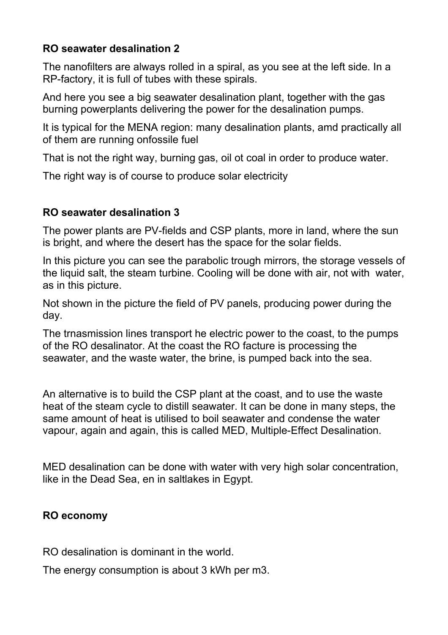# **RO seawater desalination 2**

The nanofilters are always rolled in a spiral, as you see at the left side. In a RP-factory, it is full of tubes with these spirals.

And here you see a big seawater desalination plant, together with the gas burning powerplants delivering the power for the desalination pumps.

It is typical for the MENA region: many desalination plants, amd practically all of them are running onfossile fuel

That is not the right way, burning gas, oil ot coal in order to produce water.

The right way is of course to produce solar electricity

#### **RO seawater desalination 3**

The power plants are PV-fields and CSP plants, more in land, where the sun is bright, and where the desert has the space for the solar fields.

In this picture you can see the parabolic trough mirrors, the storage vessels of the liquid salt, the steam turbine. Cooling will be done with air, not with water, as in this picture.

Not shown in the picture the field of PV panels, producing power during the day.

The trnasmission lines transport he electric power to the coast, to the pumps of the RO desalinator. At the coast the RO facture is processing the seawater, and the waste water, the brine, is pumped back into the sea.

An alternative is to build the CSP plant at the coast, and to use the waste heat of the steam cycle to distill seawater. It can be done in many steps, the same amount of heat is utilised to boil seawater and condense the water vapour, again and again, this is called MED, Multiple-Effect Desalination.

MED desalination can be done with water with very high solar concentration, like in the Dead Sea, en in saltlakes in Egypt.

# **RO economy**

RO desalination is dominant in the world.

The energy consumption is about 3 kWh per m3.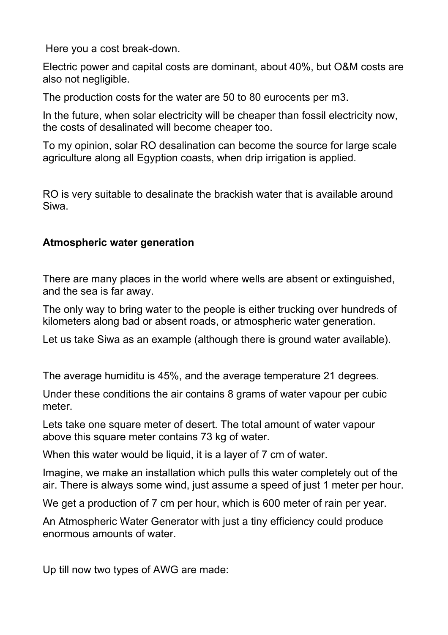Here you a cost break-down.

Electric power and capital costs are dominant, about 40%, but O&M costs are also not negligible.

The production costs for the water are 50 to 80 eurocents per m3.

In the future, when solar electricity will be cheaper than fossil electricity now, the costs of desalinated will become cheaper too.

To my opinion, solar RO desalination can become the source for large scale agriculture along all Egyption coasts, when drip irrigation is applied.

RO is very suitable to desalinate the brackish water that is available around Siwa.

#### **Atmospheric water generation**

There are many places in the world where wells are absent or extinguished, and the sea is far away.

The only way to bring water to the people is either trucking over hundreds of kilometers along bad or absent roads, or atmospheric water generation.

Let us take Siwa as an example (although there is ground water available).

The average humiditu is 45%, and the average temperature 21 degrees.

Under these conditions the air contains 8 grams of water vapour per cubic meter.

Lets take one square meter of desert. The total amount of water vapour above this square meter contains 73 kg of water.

When this water would be liquid, it is a layer of 7 cm of water.

Imagine, we make an installation which pulls this water completely out of the air. There is always some wind, just assume a speed of just 1 meter per hour.

We get a production of 7 cm per hour, which is 600 meter of rain per year.

An Atmospheric Water Generator with just a tiny efficiency could produce enormous amounts of water.

Up till now two types of AWG are made: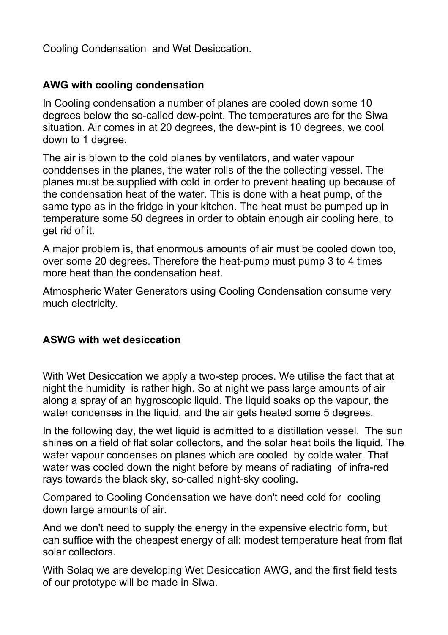Cooling Condensation and Wet Desiccation.

# **AWG with cooling condensation**

In Cooling condensation a number of planes are cooled down some 10 degrees below the so-called dew-point. The temperatures are for the Siwa situation. Air comes in at 20 degrees, the dew-pint is 10 degrees, we cool down to 1 degree.

The air is blown to the cold planes by ventilators, and water vapour conddenses in the planes, the water rolls of the the collecting vessel. The planes must be supplied with cold in order to prevent heating up because of the condensation heat of the water. This is done with a heat pump, of the same type as in the fridge in your kitchen. The heat must be pumped up in temperature some 50 degrees in order to obtain enough air cooling here, to get rid of it.

A major problem is, that enormous amounts of air must be cooled down too, over some 20 degrees. Therefore the heat-pump must pump 3 to 4 times more heat than the condensation heat.

Atmospheric Water Generators using Cooling Condensation consume very much electricity.

#### **ASWG with wet desiccation**

With Wet Desiccation we apply a two-step proces. We utilise the fact that at night the humidity is rather high. So at night we pass large amounts of air along a spray of an hygroscopic liquid. The liquid soaks op the vapour, the water condenses in the liquid, and the air gets heated some 5 degrees.

In the following day, the wet liquid is admitted to a distillation vessel. The sun shines on a field of flat solar collectors, and the solar heat boils the liquid. The water vapour condenses on planes which are cooled by colde water. That water was cooled down the night before by means of radiating of infra-red rays towards the black sky, so-called night-sky cooling.

Compared to Cooling Condensation we have don't need cold for cooling down large amounts of air.

And we don't need to supply the energy in the expensive electric form, but can suffice with the cheapest energy of all: modest temperature heat from flat solar collectors.

With Solaq we are developing Wet Desiccation AWG, and the first field tests of our prototype will be made in Siwa.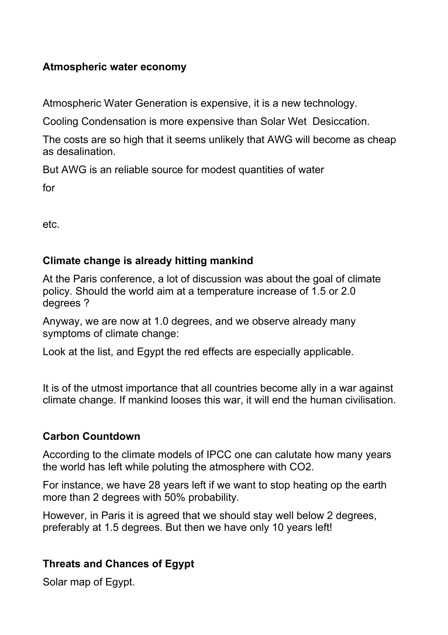# **Atmospheric water economy**

Atmospheric Water Generation is expensive, it is a new technology.

Cooling Condensation is more expensive than Solar Wet Desiccation.

The costs are so high that it seems unlikely that AWG will become as cheap as desalination.

But AWG is an reliable source for modest quantities of water

for

etc.

# **Climate change is already hitting mankind**

At the Paris conference, a lot of discussion was about the goal of climate policy. Should the world aim at a temperature increase of 1.5 or 2.0 degrees ?

Anyway, we are now at 1.0 degrees, and we observe already many symptoms of climate change:

Look at the list, and Egypt the red effects are especially applicable.

It is of the utmost importance that all countries become ally in a war against climate change. If mankind looses this war, it will end the human civilisation.

#### **Carbon Countdown**

According to the climate models of IPCC one can calutate how many years the world has left while poluting the atmosphere with CO2.

For instance, we have 28 years left if we want to stop heating op the earth more than 2 degrees with 50% probability.

However, in Paris it is agreed that we should stay well below 2 degrees, preferably at 1.5 degrees. But then we have only 10 years left!

# **Threats and Chances of Egypt**

Solar map of Egypt.